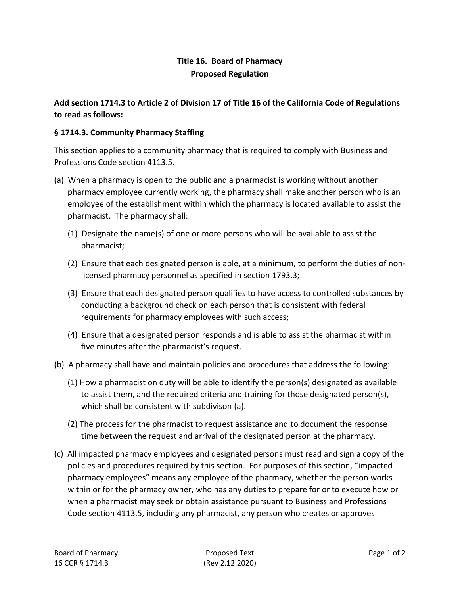## **Title 16. Board of Pharmacy Proposed Regulation**

## **Add section 1714.3 to Article 2 of Division 17 of Title 16 of the California Code of Regulations to read as follows:**

## **§ 1714.3. Community Pharmacy Staffing**

This section applies to a community pharmacy that is required to comply with Business and Professions Code section 4113.5.

- (a) When a pharmacy is open to the public and a pharmacist is working without another pharmacy employee currently working, the pharmacy shall make another person who is an employee of the establishment within which the pharmacy is located available to assist the pharmacist. The pharmacy shall:
	- (1) Designate the name(s) of one or more persons who will be available to assist the pharmacist;
	- (2) Ensure that each designated person is able, at a minimum, to perform the duties of nonlicensed pharmacy personnel as specified in section 1793.3;
	- (3) Ensure that each designated person qualifies to have access to controlled substances by conducting a background check on each person that is consistent with federal requirements for pharmacy employees with such access;
	- (4) Ensure that a designated person responds and is able to assist the pharmacist within five minutes after the pharmacist's request.
- (b) A pharmacy shall have and maintain policies and procedures that address the following:
	- (1) How a pharmacist on duty will be able to identify the person(s) designated as available to assist them, and the required criteria and training for those designated person(s), which shall be consistent with subdivison (a).
	- (2) The process for the pharmacist to request assistance and to document the response time between the request and arrival of the designated person at the pharmacy.
- (c) All impacted pharmacy employees and designated persons must read and sign a copy of the policies and procedures required by this section. For purposes of this section, "impacted pharmacy employees" means any employee of the pharmacy, whether the person works within or for the pharmacy owner, who has any duties to prepare for or to execute how or when a pharmacist may seek or obtain assistance pursuant to Business and Professions Code section 4113.5, including any pharmacist, any person who creates or approves